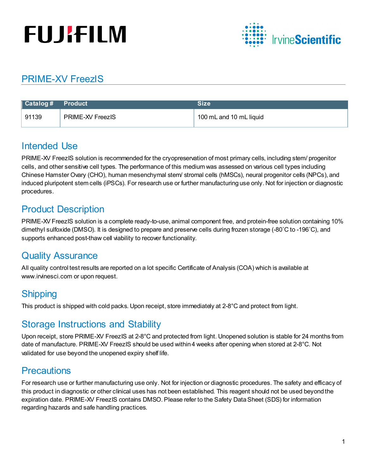# **FUJIFILM**



## PRIME-XV FreezIS

|       |                         | Size                    |
|-------|-------------------------|-------------------------|
| 91139 | <b>PRIME-XV FreezIS</b> | 100 mL and 10 mL liquid |

#### Intended Use

PRIME-XV FreezIS solution is recommended for the cryopreservation of most primary cells, including stem/ progenitor cells, and other sensitive cell types. The performance of this medium was assessed on various cell types including Chinese Hamster Ovary (CHO), human mesenchymal stem/ stromal cells (hMSCs), neural progenitor cells (NPCs), and induced pluripotent stem cells (iPSCs). For research use or further manufacturing use only. Not for injection or diagnostic procedures.

## Product Description

PRIME-XV FreezIS solution is a complete ready-to-use, animal component free, and protein-free solution containing 10% dimethyl sulfoxide (DMSO). It is designed to prepare and preserve cells during frozen storage (-80˚C to -196˚C), and supports enhanced post-thaw cell viability to recover functionality.

#### Quality Assurance

All quality control test results are reported on a lot specific Certificate of Analysis (COA) which is available at www.irvinesci.com or upon request.

### **Shipping**

This product is shipped with cold packs. Upon receipt, store immediately at 2-8°C and protect from light.

### Storage Instructions and Stability

Upon receipt, store PRIME-XV FreezIS at 2-8°C and protected from light. Unopened solution is stable for 24 months from date of manufacture. PRIME-XV FreezIS should be used within 4 weeks after opening when stored at 2-8°C. Not validated for use beyond the unopened expiry shelf life.

### **Precautions**

For research use or further manufacturing use only. Not for injection or diagnostic procedures. The safety and efficacy of this product in diagnostic or other clinical uses has not been established. This reagent should not be used beyond the expiration date. PRIME-XV FreezIS contains DMSO. Please refer to the Safety Data Sheet (SDS) for information regarding hazards and safe handling practices.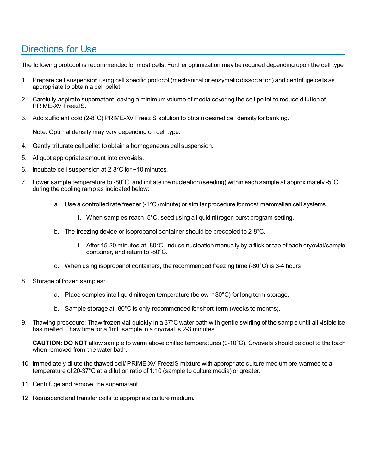#### Directions for Use

The following protocol is recommended for most cells. Further optimization may be required depending upon the cell type.

- 1. Prepare cell suspension using cell specific protocol (mechanical or enzymatic dissociation) and centrifuge cells as appropriate to obtain a cell pellet.
- 2. Carefully aspirate supernatant leaving a minimum volume of media covering the cell pellet to reduce dilution of PRIME-XV FreezIS.
- 3. Add sufficient cold (2-8°C) PRIME-XV FreezIS solution to obtain desired cell density for banking.

Note: Optimal density may vary depending on cell type.

- 4. Gently triturate cell pellet to obtain a homogeneous cell suspension.
- 5. Aliquot appropriate amount into cryovials.
- 6. Incubate cell suspension at 2-8°C for ~10 minutes.
- 7. Lower sample temperature to -80°C, and initiate ice nucleation (seeding) within each sample at approximately -5°C during the cooling ramp as indicated below:
	- a. Use a controlled rate freezer (-1°C /minute) or similar procedure for most mammalian cell systems.
		- i. When samples reach -5°C, seed using a liquid nitrogen burst program setting.
	- b. The freezing device or isopropanol container should be precooled to 2-8°C.
		- i. After 15-20 minutes at -80°C, induce nucleation manually by a flick or tap of each cryovial/sample container, and return to -80°C.
	- c. When using isopropanol containers, the recommended freezing time (-80°C) is 3-4 hours.
- 8. Storage of frozen samples:
	- a. Place samples into liquid nitrogen temperature (below -130°C) for long term storage.
	- b. Sample storage at -80°C is only recommended for short-term (weeks to months).
- 9. Thawing procedure: Thaw frozen vial quickly in a 37°C water bath with gentle swirling of the sample until all visible ice has melted. Thaw time for a 1mL sample in a cryovial is 2-3 minutes.

**CAUTION: DO NOT** allow sample to warm above chilled temperatures (0-10°C). Cryovials should be cool to the touch when removed from the water bath.

- 10. Immediately dilute the thawed cell/ PRIME-XV FreezIS mixture with appropriate culture medium pre-warmed to a temperature of 20-37°C at a dilution ratio of 1:10 (sample to culture media) or greater.
- 11. Centrifuge and remove the supernatant.
- 12. Resuspend and transfer cells to appropriate culture medium.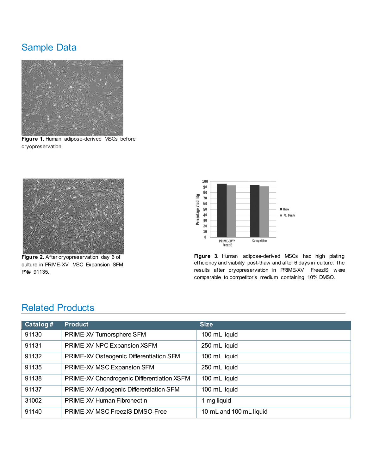### Sample Data



**Figure 1.** Human adipose-derived MSCs before cryopreservation.



**Figure 2.** After cryopreservation, day 6 of culture in PRIME-XV MSC Expansion SFM PN# 91135.



**Figure 3.** Human adipose-derived MSCs had high plating efficiency and viability post-thaw and after 6 days in culture. The results after cryopreservation in PRIME-XV FreezIS w ere comparable to competitor's medium containing 10% DMSO.

#### Related Products

| Catalog# | <b>Product</b>                             | <b>Size</b>             |
|----------|--------------------------------------------|-------------------------|
| 91130    | PRIME-XV Tumorsphere SFM                   | 100 mL liquid           |
| 91131    | PRIME-XV NPC Expansion XSFM                | 250 mL liquid           |
| 91132    | PRIME-XV Osteogenic Differentiation SFM    | 100 mL liquid           |
| 91135    | PRIME-XV MSC Expansion SFM                 | 250 mL liquid           |
| 91138    | PRIME-XV Chondrogenic Differentiation XSFM | 100 mL liquid           |
| 91137    | PRIME-XV Adipogenic Differentiation SFM    | 100 mL liquid           |
| 31002    | <b>PRIME-XV Human Fibronectin</b>          | 1 mg liquid             |
| 91140    | <b>PRIME-XV MSC FreezIS DMSO-Free</b>      | 10 mL and 100 mL liquid |